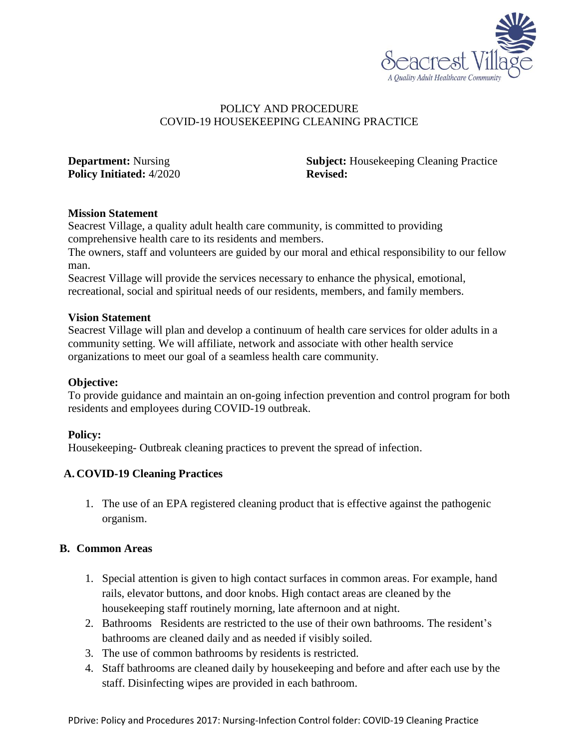

### POLICY AND PROCEDURE COVID-19 HOUSEKEEPING CLEANING PRACTICE

**Policy Initiated:** 4/2020 **Revised:** 

**Department:** Nursing **Subject:** Housekeeping Cleaning Practice

### **Mission Statement**

Seacrest Village, a quality adult health care community, is committed to providing comprehensive health care to its residents and members.

The owners, staff and volunteers are guided by our moral and ethical responsibility to our fellow man.

Seacrest Village will provide the services necessary to enhance the physical, emotional, recreational, social and spiritual needs of our residents, members, and family members.

#### **Vision Statement**

Seacrest Village will plan and develop a continuum of health care services for older adults in a community setting. We will affiliate, network and associate with other health service organizations to meet our goal of a seamless health care community.

#### **Objective:**

To provide guidance and maintain an on-going infection prevention and control program for both residents and employees during COVID-19 outbreak.

# **Policy:**

Housekeeping- Outbreak cleaning practices to prevent the spread of infection.

# **A. COVID-19 Cleaning Practices**

1. The use of an EPA registered cleaning product that is effective against the pathogenic organism.

# **B. Common Areas**

- 1. Special attention is given to high contact surfaces in common areas. For example, hand rails, elevator buttons, and door knobs. High contact areas are cleaned by the housekeeping staff routinely morning, late afternoon and at night.
- 2. Bathrooms Residents are restricted to the use of their own bathrooms. The resident's bathrooms are cleaned daily and as needed if visibly soiled.
- 3. The use of common bathrooms by residents is restricted.
- 4. Staff bathrooms are cleaned daily by housekeeping and before and after each use by the staff. Disinfecting wipes are provided in each bathroom.